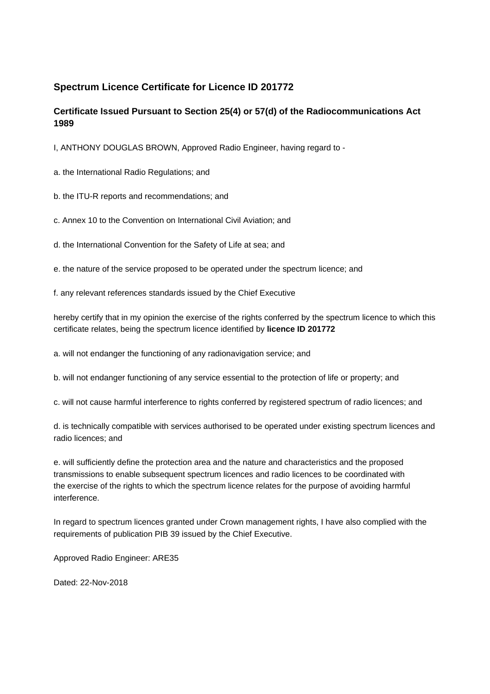## **Spectrum Licence Certificate for Licence ID 201772**

## **Certificate Issued Pursuant to Section 25(4) or 57(d) of the Radiocommunications Act 1989**

I, ANTHONY DOUGLAS BROWN, Approved Radio Engineer, having regard to -

a. the International Radio Regulations; and

b. the ITU-R reports and recommendations; and

c. Annex 10 to the Convention on International Civil Aviation; and

d. the International Convention for the Safety of Life at sea; and

e. the nature of the service proposed to be operated under the spectrum licence; and

f. any relevant references standards issued by the Chief Executive

hereby certify that in my opinion the exercise of the rights conferred by the spectrum licence to which this certificate relates, being the spectrum licence identified by **licence ID 201772**

a. will not endanger the functioning of any radionavigation service; and

b. will not endanger functioning of any service essential to the protection of life or property; and

c. will not cause harmful interference to rights conferred by registered spectrum of radio licences; and

d. is technically compatible with services authorised to be operated under existing spectrum licences and radio licences; and

e. will sufficiently define the protection area and the nature and characteristics and the proposed transmissions to enable subsequent spectrum licences and radio licences to be coordinated with the exercise of the rights to which the spectrum licence relates for the purpose of avoiding harmful interference.

In regard to spectrum licences granted under Crown management rights, I have also complied with the requirements of publication PIB 39 issued by the Chief Executive.

Approved Radio Engineer: ARE35

Dated: 22-Nov-2018